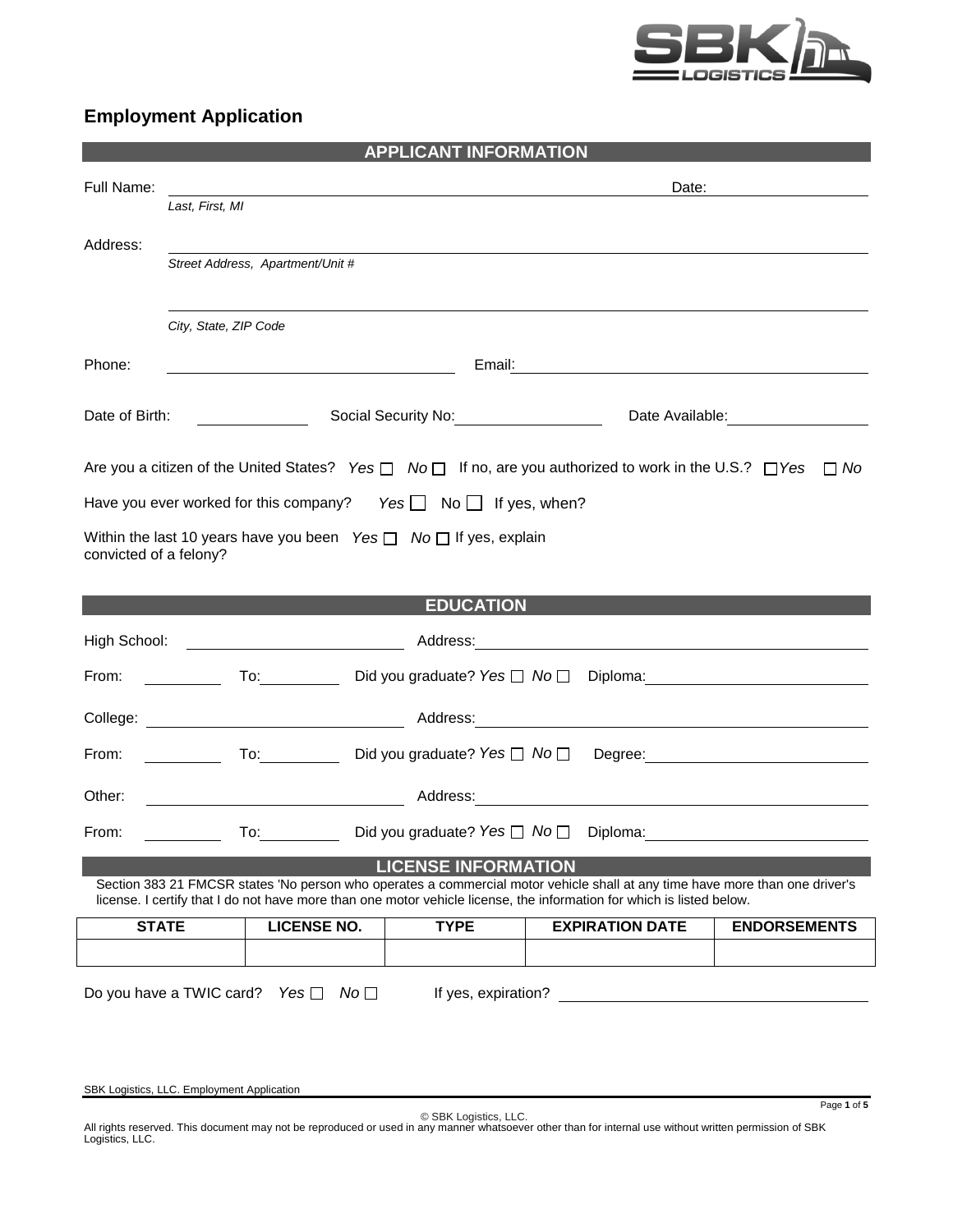

# **Employment Application**

|                        |                                            |                                                                                                                                                                                                                                                                                                                                                                                                                                  | <b>APPLICANT INFORMATION</b>                                                |                                                                                                                                                                                                                                                       |                                                                                                                                                                                                                                |
|------------------------|--------------------------------------------|----------------------------------------------------------------------------------------------------------------------------------------------------------------------------------------------------------------------------------------------------------------------------------------------------------------------------------------------------------------------------------------------------------------------------------|-----------------------------------------------------------------------------|-------------------------------------------------------------------------------------------------------------------------------------------------------------------------------------------------------------------------------------------------------|--------------------------------------------------------------------------------------------------------------------------------------------------------------------------------------------------------------------------------|
| Full Name:             |                                            |                                                                                                                                                                                                                                                                                                                                                                                                                                  |                                                                             | Date:                                                                                                                                                                                                                                                 |                                                                                                                                                                                                                                |
|                        | Last, First, MI                            |                                                                                                                                                                                                                                                                                                                                                                                                                                  |                                                                             |                                                                                                                                                                                                                                                       |                                                                                                                                                                                                                                |
| Address:               |                                            |                                                                                                                                                                                                                                                                                                                                                                                                                                  |                                                                             |                                                                                                                                                                                                                                                       |                                                                                                                                                                                                                                |
|                        |                                            | Street Address, Apartment/Unit #                                                                                                                                                                                                                                                                                                                                                                                                 |                                                                             |                                                                                                                                                                                                                                                       |                                                                                                                                                                                                                                |
|                        |                                            |                                                                                                                                                                                                                                                                                                                                                                                                                                  |                                                                             |                                                                                                                                                                                                                                                       |                                                                                                                                                                                                                                |
|                        | City, State, ZIP Code                      |                                                                                                                                                                                                                                                                                                                                                                                                                                  |                                                                             |                                                                                                                                                                                                                                                       |                                                                                                                                                                                                                                |
| Phone:                 |                                            | <u> 1989 - Johann Barn, amerikansk politiker (</u>                                                                                                                                                                                                                                                                                                                                                                               |                                                                             |                                                                                                                                                                                                                                                       |                                                                                                                                                                                                                                |
|                        |                                            |                                                                                                                                                                                                                                                                                                                                                                                                                                  |                                                                             |                                                                                                                                                                                                                                                       |                                                                                                                                                                                                                                |
| Date of Birth:         |                                            | $\overline{\phantom{a}}$ . The contract of $\overline{\phantom{a}}$ , $\overline{\phantom{a}}$ , $\overline{\phantom{a}}$ , $\overline{\phantom{a}}$ , $\overline{\phantom{a}}$ , $\overline{\phantom{a}}$ , $\overline{\phantom{a}}$ , $\overline{\phantom{a}}$ , $\overline{\phantom{a}}$ , $\overline{\phantom{a}}$ , $\overline{\phantom{a}}$ , $\overline{\phantom{a}}$ , $\overline{\phantom{a}}$ , $\overline{\phantom{a$ |                                                                             |                                                                                                                                                                                                                                                       |                                                                                                                                                                                                                                |
|                        |                                            |                                                                                                                                                                                                                                                                                                                                                                                                                                  |                                                                             | Are you a citizen of the United States? Yes $\Box$ No $\Box$ If no, are you authorized to work in the U.S.? $\Box$ Yes $\Box$ No                                                                                                                      |                                                                                                                                                                                                                                |
|                        |                                            |                                                                                                                                                                                                                                                                                                                                                                                                                                  | Have you ever worked for this company? Yes $\Box$ No $\Box$ If yes, when?   |                                                                                                                                                                                                                                                       |                                                                                                                                                                                                                                |
|                        |                                            |                                                                                                                                                                                                                                                                                                                                                                                                                                  | Within the last 10 years have you been Yes $\Box$ No $\Box$ If yes, explain |                                                                                                                                                                                                                                                       |                                                                                                                                                                                                                                |
| convicted of a felony? |                                            |                                                                                                                                                                                                                                                                                                                                                                                                                                  |                                                                             |                                                                                                                                                                                                                                                       |                                                                                                                                                                                                                                |
|                        |                                            |                                                                                                                                                                                                                                                                                                                                                                                                                                  |                                                                             |                                                                                                                                                                                                                                                       |                                                                                                                                                                                                                                |
|                        |                                            |                                                                                                                                                                                                                                                                                                                                                                                                                                  | <b>EDUCATION</b>                                                            |                                                                                                                                                                                                                                                       |                                                                                                                                                                                                                                |
| High School:           |                                            |                                                                                                                                                                                                                                                                                                                                                                                                                                  |                                                                             |                                                                                                                                                                                                                                                       |                                                                                                                                                                                                                                |
| From:                  | <u>and the state of the sta</u> te         | To: $\sqrt{ }$                                                                                                                                                                                                                                                                                                                                                                                                                   | Did you graduate? Yes $\Box$ No $\Box$                                      |                                                                                                                                                                                                                                                       |                                                                                                                                                                                                                                |
|                        |                                            |                                                                                                                                                                                                                                                                                                                                                                                                                                  |                                                                             |                                                                                                                                                                                                                                                       |                                                                                                                                                                                                                                |
| From:                  | $\mathbb{R}^n$ . The set of $\mathbb{R}^n$ | $\overline{a}$ To:                                                                                                                                                                                                                                                                                                                                                                                                               | Did you graduate? Yes □ No □                                                |                                                                                                                                                                                                                                                       | Degree: National Contract of the Contract of the Contract of the Contract of the Contract of the Contract of the Contract of the Contract of the Contract of the Contract of the Contract of the Contract of the Contract of t |
|                        |                                            |                                                                                                                                                                                                                                                                                                                                                                                                                                  |                                                                             |                                                                                                                                                                                                                                                       |                                                                                                                                                                                                                                |
| Other:                 |                                            |                                                                                                                                                                                                                                                                                                                                                                                                                                  |                                                                             |                                                                                                                                                                                                                                                       |                                                                                                                                                                                                                                |
| From:                  |                                            | To:                                                                                                                                                                                                                                                                                                                                                                                                                              | Did you graduate? Yes $\Box$ No $\Box$                                      | Diploma:                                                                                                                                                                                                                                              |                                                                                                                                                                                                                                |
|                        |                                            |                                                                                                                                                                                                                                                                                                                                                                                                                                  | <b>LICENSE INFORMATION</b>                                                  |                                                                                                                                                                                                                                                       |                                                                                                                                                                                                                                |
|                        |                                            |                                                                                                                                                                                                                                                                                                                                                                                                                                  |                                                                             | Section 383 21 FMCSR states 'No person who operates a commercial motor vehicle shall at any time have more than one driver's<br>license. I certify that I do not have more than one motor vehicle license, the information for which is listed below. |                                                                                                                                                                                                                                |
| <b>STATE</b>           |                                            | <b>LICENSE NO.</b>                                                                                                                                                                                                                                                                                                                                                                                                               | <b>TYPE</b>                                                                 | <b>EXPIRATION DATE</b>                                                                                                                                                                                                                                | <b>ENDORSEMENTS</b>                                                                                                                                                                                                            |
|                        |                                            |                                                                                                                                                                                                                                                                                                                                                                                                                                  |                                                                             |                                                                                                                                                                                                                                                       |                                                                                                                                                                                                                                |
|                        |                                            | Do you have a TWIC card? Yes $\Box$ No $\Box$                                                                                                                                                                                                                                                                                                                                                                                    | If yes, expiration?                                                         |                                                                                                                                                                                                                                                       |                                                                                                                                                                                                                                |

SBK Logistics, LLC. Employment Application

Page **1** of **5**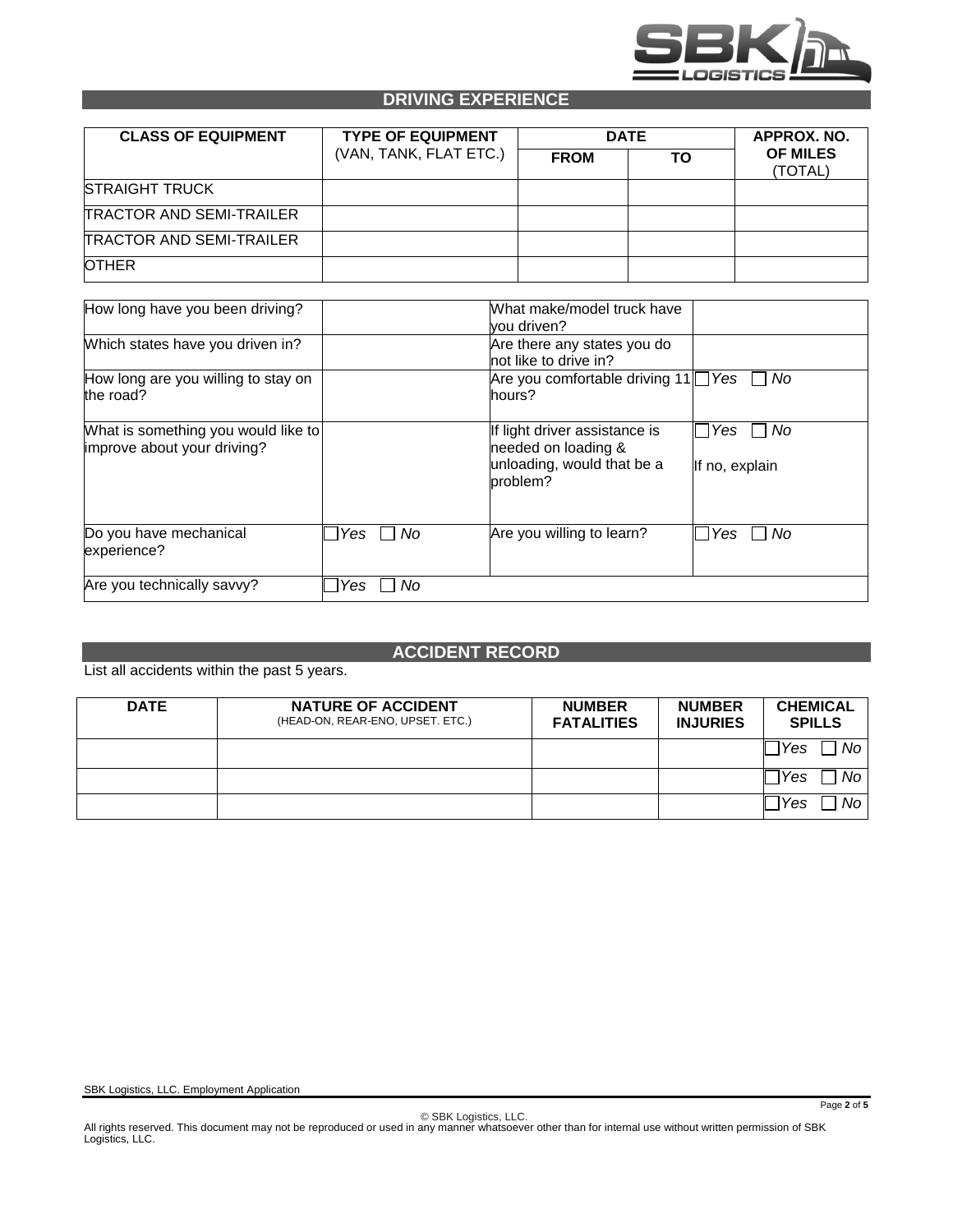

### **DRIVING EXPERIENCE**

| <b>CLASS OF EQUIPMENT</b>       | <b>TYPE OF EQUIPMENT</b><br>(VAN, TANK, FLAT ETC.) | <b>DATE</b> | APPROX. NO. |                            |
|---------------------------------|----------------------------------------------------|-------------|-------------|----------------------------|
|                                 |                                                    | <b>FROM</b> | ΤO          | <b>OF MILES</b><br>(TOTAL) |
| <b>STRAIGHT TRUCK</b>           |                                                    |             |             |                            |
| <b>TRACTOR AND SEMI-TRAILER</b> |                                                    |             |             |                            |
| <b>TRACTOR AND SEMI-TRAILER</b> |                                                    |             |             |                            |
| <b>OTHER</b>                    |                                                    |             |             |                            |

| How long have you been driving?                                    |           | What make/model truck have<br>vou driven?                                                      |                               |  |  |  |
|--------------------------------------------------------------------|-----------|------------------------------------------------------------------------------------------------|-------------------------------|--|--|--|
| Which states have you driven in?                                   |           | Are there any states you do<br>not like to drive in?                                           |                               |  |  |  |
| How long are you willing to stay on<br>the road?                   |           | Are you comfortable driving $11$ $\sqrt{$ Yes [<br>hours?                                      | No                            |  |  |  |
| What is something you would like to<br>improve about your driving? |           | If light driver assistance is<br>needed on loading &<br>unloading, would that be a<br>problem? | l Yes<br>No<br>If no, explain |  |  |  |
| Do you have mechanical<br>experience?                              | No<br>Yes | Are you willing to learn?                                                                      | l No<br>Yes                   |  |  |  |
| Are you technically savvy?                                         | No<br>Yes |                                                                                                |                               |  |  |  |

### **ACCIDENT RECORD**

List all accidents within the past 5 years.

| <b>DATE</b> | <b>NATURE OF ACCIDENT</b><br>(HEAD-ON, REAR-ENO, UPSET. ETC.) | <b>NUMBER</b><br><b>FATALITIES</b> | <b>NUMBER</b><br><b>INJURIES</b> | <b>CHEMICAL</b><br><b>SPILLS</b> |
|-------------|---------------------------------------------------------------|------------------------------------|----------------------------------|----------------------------------|
|             |                                                               |                                    |                                  | No<br>Yes                        |
|             |                                                               |                                    |                                  | Yes<br>No                        |
|             |                                                               |                                    |                                  | No<br>Yes                        |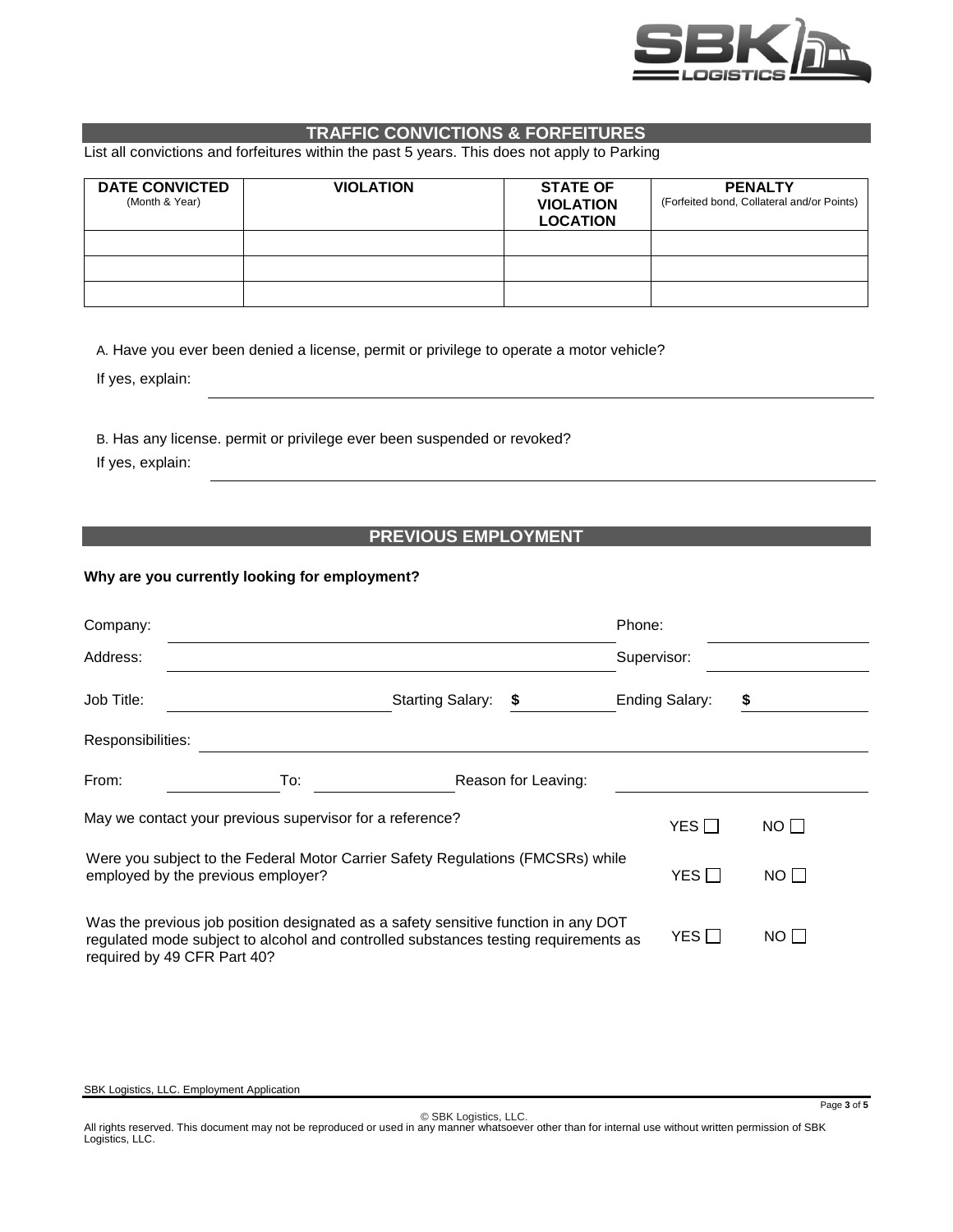

## **TRAFFIC CONVICTIONS & FORFEITURES**

List all convictions and forfeitures within the past 5 years. This does not apply to Parking

| <b>DATE CONVICTED</b><br>(Month & Year) | <b>VIOLATION</b> | <b>STATE OF</b><br><b>VIOLATION</b><br><b>LOCATION</b> | <b>PENALTY</b><br>(Forfeited bond, Collateral and/or Points) |
|-----------------------------------------|------------------|--------------------------------------------------------|--------------------------------------------------------------|
|                                         |                  |                                                        |                                                              |
|                                         |                  |                                                        |                                                              |
|                                         |                  |                                                        |                                                              |

A. Have you ever been denied a license, permit or privilege to operate a motor vehicle?

If yes, explain:

B. Has any license. permit or privilege ever been suspended or revoked?

If yes, explain:

### **PREVIOUS EMPLOYMENT**

#### **Why are you currently looking for employment?**

| Company:                           |                                                                                                                                                                           |                         |                     | Phone:                |             |  |
|------------------------------------|---------------------------------------------------------------------------------------------------------------------------------------------------------------------------|-------------------------|---------------------|-----------------------|-------------|--|
| Address:                           |                                                                                                                                                                           |                         |                     | Supervisor:           |             |  |
| Job Title:                         |                                                                                                                                                                           | <b>Starting Salary:</b> | \$                  | <b>Ending Salary:</b> | \$          |  |
| Responsibilities:                  |                                                                                                                                                                           |                         |                     |                       |             |  |
| From:                              | To:                                                                                                                                                                       |                         | Reason for Leaving: |                       |             |  |
|                                    | May we contact your previous supervisor for a reference?                                                                                                                  |                         |                     | YES $\Box$            | NO          |  |
| employed by the previous employer? | Were you subject to the Federal Motor Carrier Safety Regulations (FMCSRs) while                                                                                           |                         |                     | YES $\Box$            | NO I I      |  |
| required by 49 CFR Part 40?        | Was the previous job position designated as a safety sensitive function in any DOT<br>regulated mode subject to alcohol and controlled substances testing requirements as |                         |                     | YES ∏                 | $NO$ $\Box$ |  |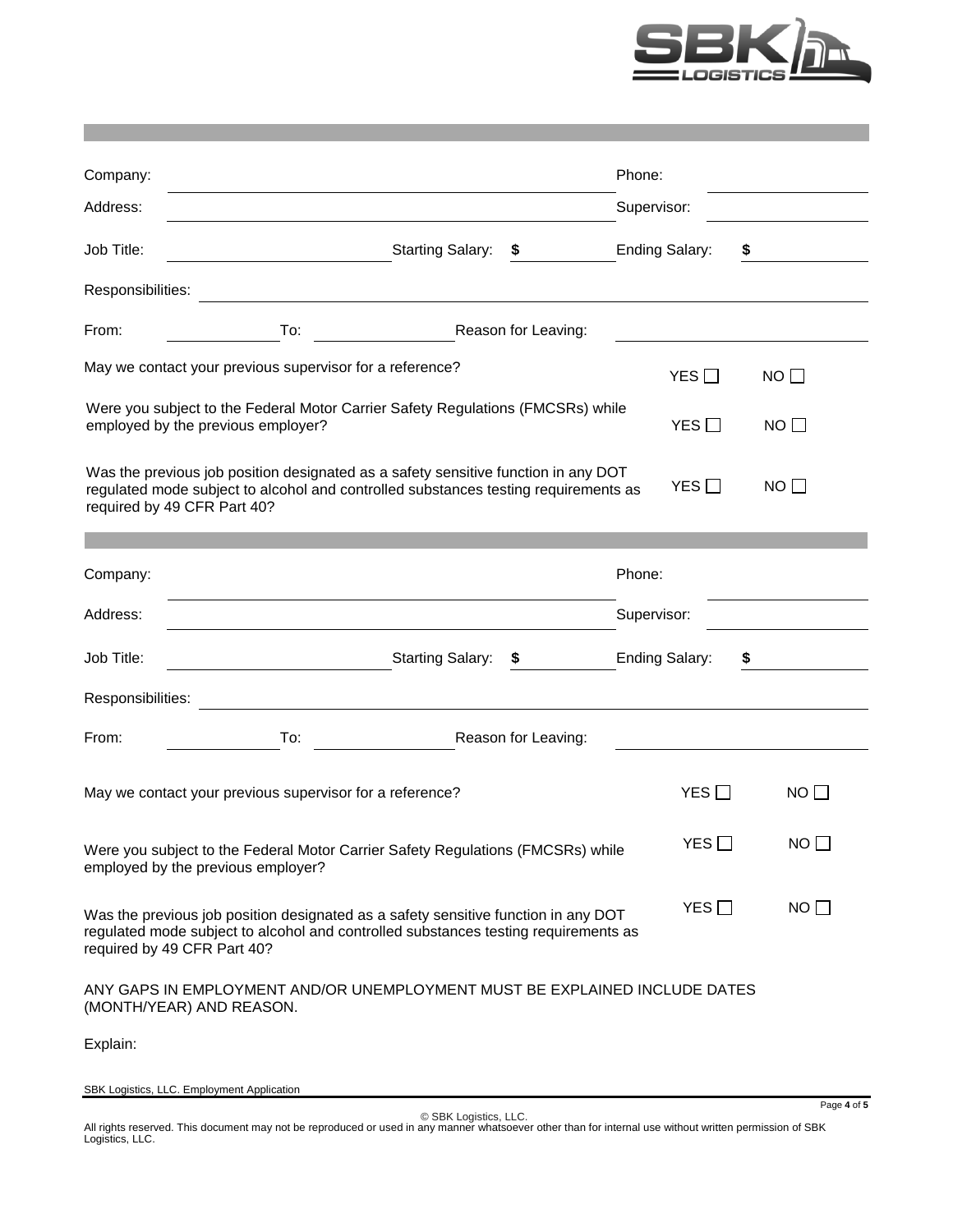

| Company:          |                                                                                                                                                                                                          |                     | Phone:                |            |             |
|-------------------|----------------------------------------------------------------------------------------------------------------------------------------------------------------------------------------------------------|---------------------|-----------------------|------------|-------------|
| Address:          |                                                                                                                                                                                                          |                     | Supervisor:           |            |             |
| Job Title:        | <b>Starting Salary:</b><br>$\overline{\phantom{a}}$                                                                                                                                                      | \$.                 | <b>Ending Salary:</b> | \$         |             |
| Responsibilities: |                                                                                                                                                                                                          |                     |                       |            |             |
| From:             | To:                                                                                                                                                                                                      | Reason for Leaving: |                       |            |             |
|                   | May we contact your previous supervisor for a reference?                                                                                                                                                 |                     |                       | YES $\Box$ | NO          |
|                   | Were you subject to the Federal Motor Carrier Safety Regulations (FMCSRs) while<br>employed by the previous employer?                                                                                    |                     |                       | YES        | $NO$ $\Box$ |
|                   | Was the previous job position designated as a safety sensitive function in any DOT<br>regulated mode subject to alcohol and controlled substances testing requirements as<br>required by 49 CFR Part 40? |                     |                       | YES        | NO          |
| Company:          |                                                                                                                                                                                                          |                     | Phone:                |            |             |
| Address:          |                                                                                                                                                                                                          |                     | Supervisor:           |            |             |
| Job Title:        | <b>Starting Salary:</b>                                                                                                                                                                                  | \$                  | <b>Ending Salary:</b> | \$         |             |
| Responsibilities: |                                                                                                                                                                                                          |                     |                       |            |             |
| From:             | To:                                                                                                                                                                                                      | Reason for Leaving: |                       |            |             |
|                   | May we contact your previous supervisor for a reference?                                                                                                                                                 |                     |                       | YES $\Box$ | NO          |
|                   | Were you subject to the Federal Motor Carrier Safety Regulations (FMCSRs) while<br>employed by the previous employer?                                                                                    |                     |                       | YES $\Box$ | NO          |
|                   | Was the previous job position designated as a safety sensitive function in any DOT<br>regulated mode subject to alcohol and controlled substances testing requirements as<br>required by 49 CFR Part 40? |                     |                       | YES        | NO          |
|                   | ANY GAPS IN EMPLOYMENT AND/OR UNEMPLOYMENT MUST BE EXPLAINED INCLUDE DATES<br>(MONTH/YEAR) AND REASON.                                                                                                   |                     |                       |            |             |
| Explain:          |                                                                                                                                                                                                          |                     |                       |            |             |

SBK Logistics, LLC. Employment Application